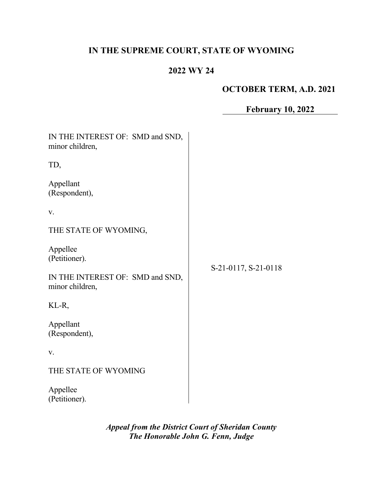# **IN THE SUPREME COURT, STATE OF WYOMING**

# **2022 WY 24**

# **OCTOBER TERM, A.D. 2021**

# **February 10, 2022**

| IN THE INTEREST OF: SMD and SND,<br>minor children, |                      |
|-----------------------------------------------------|----------------------|
| TD,                                                 |                      |
| Appellant<br>(Respondent),                          |                      |
| V.                                                  |                      |
| THE STATE OF WYOMING,                               |                      |
| Appellee<br>(Petitioner).                           |                      |
| IN THE INTEREST OF: SMD and SND,<br>minor children, | S-21-0117, S-21-0118 |
| KL-R,                                               |                      |
| Appellant<br>(Respondent),                          |                      |
| V.                                                  |                      |
| THE STATE OF WYOMING                                |                      |
| Appellee<br>(Petitioner).                           |                      |

*Appeal from the District Court of Sheridan County The Honorable John G. Fenn, Judge*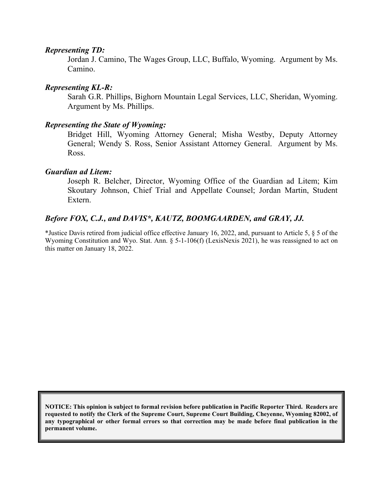#### *Representing TD:*

Jordan J. Camino, The Wages Group, LLC, Buffalo, Wyoming. Argument by Ms. Camino.

#### *Representing KL-R:*

Sarah G.R. Phillips, Bighorn Mountain Legal Services, LLC, Sheridan, Wyoming. Argument by Ms. Phillips.

#### *Representing the State of Wyoming:*

Bridget Hill, Wyoming Attorney General; Misha Westby, Deputy Attorney General; Wendy S. Ross, Senior Assistant Attorney General. Argument by Ms. Ross.

#### *Guardian ad Litem:*

Joseph R. Belcher, Director, Wyoming Office of the Guardian ad Litem; Kim Skoutary Johnson, Chief Trial and Appellate Counsel; Jordan Martin, Student Extern.

#### *Before FOX, C.J., and DAVIS\*, KAUTZ, BOOMGAARDEN, and GRAY, JJ.*

\*Justice Davis retired from judicial office effective January 16, 2022, and, pursuant to Article 5, § 5 of the Wyoming Constitution and Wyo. Stat. Ann. § 5-1-106(f) (LexisNexis 2021), he was reassigned to act on this matter on January 18, 2022.

**NOTICE: This opinion is subject to formal revision before publication in Pacific Reporter Third. Readers are requested to notify the Clerk of the Supreme Court, Supreme Court Building, Cheyenne, Wyoming 82002, of any typographical or other formal errors so that correction may be made before final publication in the permanent volume.**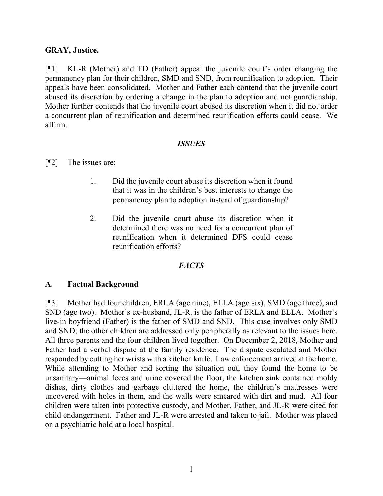#### **GRAY, Justice.**

[¶1] KL-R (Mother) and TD (Father) appeal the juvenile court's order changing the permanency plan for their children, SMD and SND, from reunification to adoption. Their appeals have been consolidated. Mother and Father each contend that the juvenile court abused its discretion by ordering a change in the plan to adoption and not guardianship. Mother further contends that the juvenile court abused its discretion when it did not order a concurrent plan of reunification and determined reunification efforts could cease. We affirm.

#### *ISSUES*

#### [¶2] The issues are:

- 1. Did the juvenile court abuse its discretion when it found that it was in the children's best interests to change the permanency plan to adoption instead of guardianship?
- 2. Did the juvenile court abuse its discretion when it determined there was no need for a concurrent plan of reunification when it determined DFS could cease reunification efforts?

#### *FACTS*

#### **A. Factual Background**

[¶3] Mother had four children, ERLA (age nine), ELLA (age six), SMD (age three), and SND (age two). Mother's ex-husband, JL-R, is the father of ERLA and ELLA. Mother's live-in boyfriend (Father) is the father of SMD and SND. This case involves only SMD and SND; the other children are addressed only peripherally as relevant to the issues here. All three parents and the four children lived together. On December 2, 2018, Mother and Father had a verbal dispute at the family residence. The dispute escalated and Mother responded by cutting her wrists with a kitchen knife. Law enforcement arrived at the home. While attending to Mother and sorting the situation out, they found the home to be unsanitary—animal feces and urine covered the floor, the kitchen sink contained moldy dishes, dirty clothes and garbage cluttered the home, the children's mattresses were uncovered with holes in them, and the walls were smeared with dirt and mud. All four children were taken into protective custody, and Mother, Father, and JL-R were cited for child endangerment. Father and JL-R were arrested and taken to jail. Mother was placed on a psychiatric hold at a local hospital.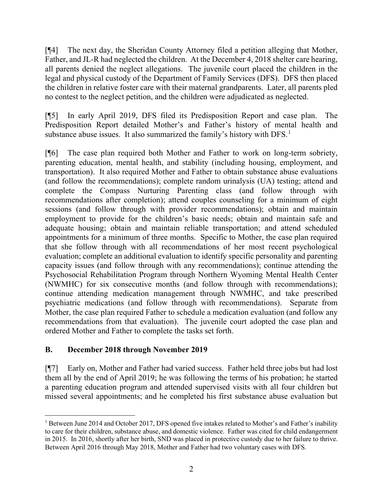[¶4] The next day, the Sheridan County Attorney filed a petition alleging that Mother, Father, and JL-R had neglected the children. At the December 4, 2018 shelter care hearing, all parents denied the neglect allegations. The juvenile court placed the children in the legal and physical custody of the Department of Family Services (DFS). DFS then placed the children in relative foster care with their maternal grandparents. Later, all parents pled no contest to the neglect petition, and the children were adjudicated as neglected.

[¶5] In early April 2019, DFS filed its Predisposition Report and case plan. The Predisposition Report detailed Mother's and Father's history of mental health and substance abuse issues. It also summarized the family's history with DFS.<sup>[1](#page-3-0)</sup>

[¶6] The case plan required both Mother and Father to work on long-term sobriety, parenting education, mental health, and stability (including housing, employment, and transportation). It also required Mother and Father to obtain substance abuse evaluations (and follow the recommendations); complete random urinalysis (UA) testing; attend and complete the Compass Nurturing Parenting class (and follow through with recommendations after completion); attend couples counseling for a minimum of eight sessions (and follow through with provider recommendations); obtain and maintain employment to provide for the children's basic needs; obtain and maintain safe and adequate housing; obtain and maintain reliable transportation; and attend scheduled appointments for a minimum of three months. Specific to Mother, the case plan required that she follow through with all recommendations of her most recent psychological evaluation; complete an additional evaluation to identify specific personality and parenting capacity issues (and follow through with any recommendations); continue attending the Psychosocial Rehabilitation Program through Northern Wyoming Mental Health Center (NWMHC) for six consecutive months (and follow through with recommendations); continue attending medication management through NWMHC, and take prescribed psychiatric medications (and follow through with recommendations). Separate from Mother, the case plan required Father to schedule a medication evaluation (and follow any recommendations from that evaluation). The juvenile court adopted the case plan and ordered Mother and Father to complete the tasks set forth.

# **B. December 2018 through November 2019**

[¶7] Early on, Mother and Father had varied success. Father held three jobs but had lost them all by the end of April 2019; he was following the terms of his probation; he started a parenting education program and attended supervised visits with all four children but missed several appointments; and he completed his first substance abuse evaluation but

<span id="page-3-0"></span><sup>&</sup>lt;sup>1</sup> Between June 2014 and October 2017, DFS opened five intakes related to Mother's and Father's inability to care for their children, substance abuse, and domestic violence. Father was cited for child endangerment in 2015. In 2016, shortly after her birth, SND was placed in protective custody due to her failure to thrive. Between April 2016 through May 2018, Mother and Father had two voluntary cases with DFS.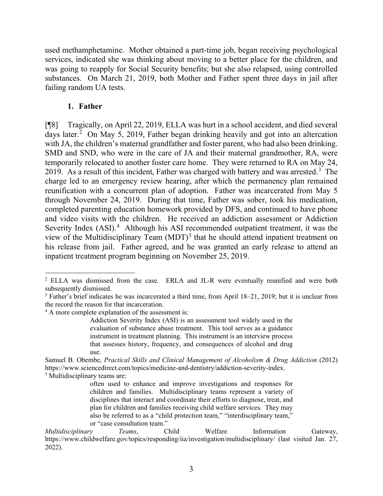used methamphetamine. Mother obtained a part-time job, began receiving psychological services, indicated she was thinking about moving to a better place for the children, and was going to reapply for Social Security benefits; but she also relapsed, using controlled substances. On March 21, 2019, both Mother and Father spent three days in jail after failing random UA tests.

#### **1. Father**

[¶8] Tragically, on April 22, 2019, ELLA was hurt in a school accident, and died several days later.<sup>[2](#page-4-0)</sup> On May 5, 2019, Father began drinking heavily and got into an altercation with JA, the children's maternal grandfather and foster parent, who had also been drinking. SMD and SND, who were in the care of JA and their maternal grandmother, RA, were temporarily relocated to another foster care home. They were returned to RA on May 24, 2019. As a result of this incident, Father was charged with battery and was arrested.<sup>[3](#page-4-1)</sup> The charge led to an emergency review hearing, after which the permanency plan remained reunification with a concurrent plan of adoption. Father was incarcerated from May 5 through November 24, 2019. During that time, Father was sober, took his medication, completed parenting education homework provided by DFS, and continued to have phone and video visits with the children. He received an addiction assessment or Addiction Severity Index (ASI).<sup>[4](#page-4-2)</sup> Although his ASI recommended outpatient treatment, it was the view of the Multidisciplinary Team  $(MDT)^5$  $(MDT)^5$  that he should attend inpatient treatment on his release from jail. Father agreed, and he was granted an early release to attend an inpatient treatment program beginning on November 25, 2019.

<span id="page-4-0"></span><sup>2</sup> ELLA was dismissed from the case. ERLA and JL-R were eventually reunified and were both subsequently dismissed.

<span id="page-4-1"></span><sup>&</sup>lt;sup>3</sup> Father's brief indicates he was incarcerated a third time, from April 18–21, 2019; but it is unclear from the record the reason for that incarceration.

<span id="page-4-2"></span><sup>&</sup>lt;sup>4</sup> A more complete explanation of the assessment is:

Addiction Severity Index (ASI) is an assessment tool widely used in the evaluation of substance abuse treatment. This tool serves as a guidance instrument in treatment planning. This instrument is an interview process that assesses history, frequency, and consequences of alcohol and drug use.

<span id="page-4-3"></span>Samuel B. Obembe, *Practical Skills and Clinical Management of Alcoholism & Drug Addiction* (2012) https://www.sciencedirect.com/topics/medicine-and-dentistry/addiction-severity-index. <sup>5</sup> Multidisciplinary teams are:

often used to enhance and improve investigations and responses for children and families. Multidisciplinary teams represent a variety of disciplines that interact and coordinate their efforts to diagnose, treat, and plan for children and families receiving child welfare services. They may also be referred to as a "child protection team," "interdisciplinary team," or "case consultation team."

*Multidisciplinary Teams*, Child Welfare Information Gateway, https://www.childwelfare.gov/topics/responding/iia/investigation/multidisciplinary/ (last visited Jan. 27, 2022).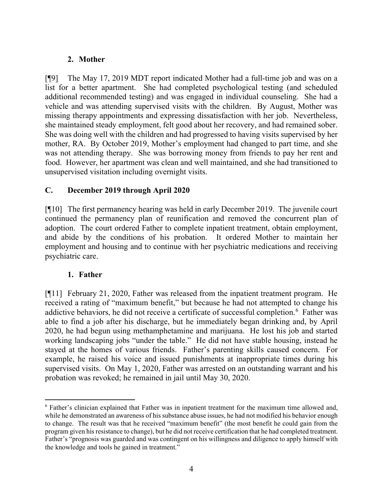# **2. Mother**

[¶9] The May 17, 2019 MDT report indicated Mother had a full-time job and was on a list for a better apartment. She had completed psychological testing (and scheduled additional recommended testing) and was engaged in individual counseling. She had a vehicle and was attending supervised visits with the children. By August, Mother was missing therapy appointments and expressing dissatisfaction with her job. Nevertheless, she maintained steady employment, felt good about her recovery, and had remained sober. She was doing well with the children and had progressed to having visits supervised by her mother, RA. By October 2019, Mother's employment had changed to part time, and she was not attending therapy. She was borrowing money from friends to pay her rent and food. However, her apartment was clean and well maintained, and she had transitioned to unsupervised visitation including overnight visits.

## **C. December 2019 through April 2020**

[¶10] The first permanency hearing was held in early December 2019. The juvenile court continued the permanency plan of reunification and removed the concurrent plan of adoption. The court ordered Father to complete inpatient treatment, obtain employment, and abide by the conditions of his probation. It ordered Mother to maintain her employment and housing and to continue with her psychiatric medications and receiving psychiatric care.

#### **1. Father**

[¶11] February 21, 2020, Father was released from the inpatient treatment program. He received a rating of "maximum benefit," but because he had not attempted to change his addictive behaviors, he did not receive a certificate of successful completion.<sup>[6](#page-5-0)</sup> Father was able to find a job after his discharge, but he immediately began drinking and, by April 2020, he had begun using methamphetamine and marijuana. He lost his job and started working landscaping jobs "under the table." He did not have stable housing, instead he stayed at the homes of various friends. Father's parenting skills caused concern. For example, he raised his voice and issued punishments at inappropriate times during his supervised visits. On May 1, 2020, Father was arrested on an outstanding warrant and his probation was revoked; he remained in jail until May 30, 2020.

<span id="page-5-0"></span><sup>6</sup> Father's clinician explained that Father was in inpatient treatment for the maximum time allowed and, while he demonstrated an awareness of his substance abuse issues, he had not modified his behavior enough to change. The result was that he received "maximum benefit" (the most benefit he could gain from the program given his resistance to change), but he did not receive certification that he had completed treatment. Father's "prognosis was guarded and was contingent on his willingness and diligence to apply himself with the knowledge and tools he gained in treatment."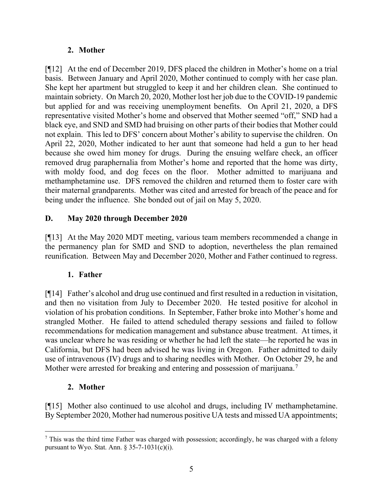# **2. Mother**

[¶12] At the end of December 2019, DFS placed the children in Mother's home on a trial basis. Between January and April 2020, Mother continued to comply with her case plan. She kept her apartment but struggled to keep it and her children clean. She continued to maintain sobriety. On March 20, 2020, Mother lost her job due to the COVID-19 pandemic but applied for and was receiving unemployment benefits. On April 21, 2020, a DFS representative visited Mother's home and observed that Mother seemed "off," SND had a black eye, and SND and SMD had bruising on other parts of their bodies that Mother could not explain. This led to DFS' concern about Mother's ability to supervise the children. On April 22, 2020, Mother indicated to her aunt that someone had held a gun to her head because she owed him money for drugs. During the ensuing welfare check, an officer removed drug paraphernalia from Mother's home and reported that the home was dirty, with moldy food, and dog feces on the floor. Mother admitted to marijuana and methamphetamine use. DFS removed the children and returned them to foster care with their maternal grandparents. Mother was cited and arrested for breach of the peace and for being under the influence. She bonded out of jail on May 5, 2020.

# **D. May 2020 through December 2020**

[¶13] At the May 2020 MDT meeting, various team members recommended a change in the permanency plan for SMD and SND to adoption, nevertheless the plan remained reunification. Between May and December 2020, Mother and Father continued to regress.

#### **1. Father**

[¶14] Father's alcohol and drug use continued and first resulted in a reduction in visitation, and then no visitation from July to December 2020. He tested positive for alcohol in violation of his probation conditions. In September, Father broke into Mother's home and strangled Mother. He failed to attend scheduled therapy sessions and failed to follow recommendations for medication management and substance abuse treatment. At times, it was unclear where he was residing or whether he had left the state—he reported he was in California, but DFS had been advised he was living in Oregon. Father admitted to daily use of intravenous (IV) drugs and to sharing needles with Mother. On October 29, he and Mother were arrested for breaking and entering and possession of marijuana.<sup>[7](#page-6-0)</sup>

# **2. Mother**

[¶15] Mother also continued to use alcohol and drugs, including IV methamphetamine. By September 2020, Mother had numerous positive UA tests and missed UA appointments;

<span id="page-6-0"></span> $<sup>7</sup>$  This was the third time Father was charged with possession; accordingly, he was charged with a felony</sup> pursuant to Wyo. Stat. Ann.  $\S 35-7-1031(c)(i)$ .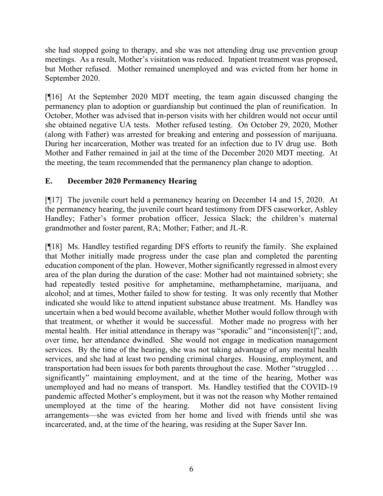she had stopped going to therapy, and she was not attending drug use prevention group meetings. As a result, Mother's visitation was reduced. Inpatient treatment was proposed, but Mother refused. Mother remained unemployed and was evicted from her home in September 2020.

[¶16] At the September 2020 MDT meeting, the team again discussed changing the permanency plan to adoption or guardianship but continued the plan of reunification. In October, Mother was advised that in-person visits with her children would not occur until she obtained negative UA tests. Mother refused testing. On October 29, 2020, Mother (along with Father) was arrested for breaking and entering and possession of marijuana. During her incarceration, Mother was treated for an infection due to IV drug use. Both Mother and Father remained in jail at the time of the December 2020 MDT meeting. At the meeting, the team recommended that the permanency plan change to adoption.

## **E. December 2020 Permanency Hearing**

[¶17] The juvenile court held a permanency hearing on December 14 and 15, 2020. At the permanency hearing, the juvenile court heard testimony from DFS caseworker, Ashley Handley; Father's former probation officer, Jessica Slack; the children's maternal grandmother and foster parent, RA; Mother; Father; and JL-R.

[¶18] Ms. Handley testified regarding DFS efforts to reunify the family. She explained that Mother initially made progress under the case plan and completed the parenting education component of the plan. However, Mother significantly regressed in almost every area of the plan during the duration of the case: Mother had not maintained sobriety; she had repeatedly tested positive for amphetamine, methamphetamine, marijuana, and alcohol; and at times, Mother failed to show for testing. It was only recently that Mother indicated she would like to attend inpatient substance abuse treatment. Ms. Handley was uncertain when a bed would become available, whether Mother would follow through with that treatment, or whether it would be successful. Mother made no progress with her mental health. Her initial attendance in therapy was "sporadic" and "inconsisten[t]"; and, over time, her attendance dwindled. She would not engage in medication management services. By the time of the hearing, she was not taking advantage of any mental health services, and she had at least two pending criminal charges. Housing, employment, and transportation had been issues for both parents throughout the case. Mother "struggled . . . significantly" maintaining employment, and at the time of the hearing, Mother was unemployed and had no means of transport. Ms. Handley testified that the COVID-19 pandemic affected Mother's employment, but it was not the reason why Mother remained unemployed at the time of the hearing. Mother did not have consistent living arrangements—she was evicted from her home and lived with friends until she was incarcerated, and, at the time of the hearing, was residing at the Super Saver Inn.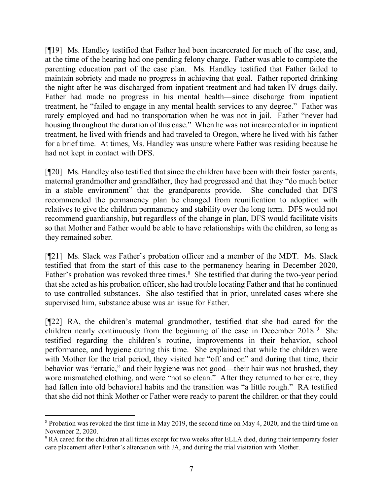[¶19] Ms. Handley testified that Father had been incarcerated for much of the case, and, at the time of the hearing had one pending felony charge. Father was able to complete the parenting education part of the case plan. Ms. Handley testified that Father failed to maintain sobriety and made no progress in achieving that goal. Father reported drinking the night after he was discharged from inpatient treatment and had taken IV drugs daily. Father had made no progress in his mental health—since discharge from inpatient treatment, he "failed to engage in any mental health services to any degree." Father was rarely employed and had no transportation when he was not in jail. Father "never had housing throughout the duration of this case." When he was not incarcerated or in inpatient treatment, he lived with friends and had traveled to Oregon, where he lived with his father for a brief time. At times, Ms. Handley was unsure where Father was residing because he had not kept in contact with DFS.

[¶20] Ms. Handley also testified that since the children have been with their foster parents, maternal grandmother and grandfather, they had progressed and that they "do much better in a stable environment" that the grandparents provide. She concluded that DFS recommended the permanency plan be changed from reunification to adoption with relatives to give the children permanency and stability over the long term. DFS would not recommend guardianship, but regardless of the change in plan, DFS would facilitate visits so that Mother and Father would be able to have relationships with the children, so long as they remained sober.

[¶21] Ms. Slack was Father's probation officer and a member of the MDT. Ms. Slack testified that from the start of this case to the permanency hearing in December 2020, Father's probation was revoked three times.<sup>[8](#page-8-0)</sup> She testified that during the two-year period that she acted as his probation officer, she had trouble locating Father and that he continued to use controlled substances. She also testified that in prior, unrelated cases where she supervised him, substance abuse was an issue for Father.

[¶22] RA, the children's maternal grandmother, testified that she had cared for the children nearly continuously from the beginning of the case in December 2018. [9](#page-8-1) She testified regarding the children's routine, improvements in their behavior, school performance, and hygiene during this time. She explained that while the children were with Mother for the trial period, they visited her "off and on" and during that time, their behavior was "erratic," and their hygiene was not good—their hair was not brushed, they wore mismatched clothing, and were "not so clean." After they returned to her care, they had fallen into old behavioral habits and the transition was "a little rough." RA testified that she did not think Mother or Father were ready to parent the children or that they could

<span id="page-8-0"></span><sup>8</sup> Probation was revoked the first time in May 2019, the second time on May 4, 2020, and the third time on November 2, 2020.

<span id="page-8-1"></span><sup>9</sup> RA cared for the children at all times except for two weeks after ELLA died, during their temporary foster care placement after Father's altercation with JA, and during the trial visitation with Mother.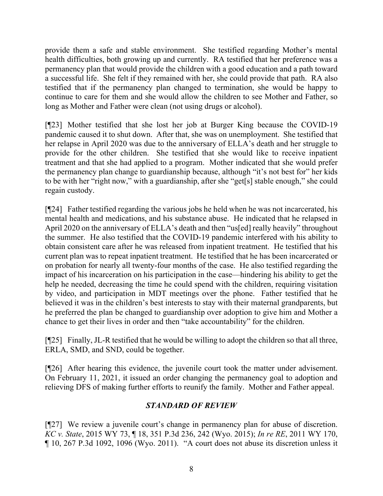provide them a safe and stable environment. She testified regarding Mother's mental health difficulties, both growing up and currently. RA testified that her preference was a permanency plan that would provide the children with a good education and a path toward a successful life. She felt if they remained with her, she could provide that path. RA also testified that if the permanency plan changed to termination, she would be happy to continue to care for them and she would allow the children to see Mother and Father, so long as Mother and Father were clean (not using drugs or alcohol).

[¶23] Mother testified that she lost her job at Burger King because the COVID-19 pandemic caused it to shut down. After that, she was on unemployment. She testified that her relapse in April 2020 was due to the anniversary of ELLA's death and her struggle to provide for the other children. She testified that she would like to receive inpatient treatment and that she had applied to a program. Mother indicated that she would prefer the permanency plan change to guardianship because, although "it's not best for" her kids to be with her "right now," with a guardianship, after she "get[s] stable enough," she could regain custody.

[¶24] Father testified regarding the various jobs he held when he was not incarcerated, his mental health and medications, and his substance abuse. He indicated that he relapsed in April 2020 on the anniversary of ELLA's death and then "us[ed] really heavily" throughout the summer. He also testified that the COVID-19 pandemic interfered with his ability to obtain consistent care after he was released from inpatient treatment. He testified that his current plan was to repeat inpatient treatment. He testified that he has been incarcerated or on probation for nearly all twenty-four months of the case. He also testified regarding the impact of his incarceration on his participation in the case—hindering his ability to get the help he needed, decreasing the time he could spend with the children, requiring visitation by video, and participation in MDT meetings over the phone. Father testified that he believed it was in the children's best interests to stay with their maternal grandparents, but he preferred the plan be changed to guardianship over adoption to give him and Mother a chance to get their lives in order and then "take accountability" for the children.

[¶25] Finally, JL-R testified that he would be willing to adopt the children so that all three, ERLA, SMD, and SND, could be together.

[¶26] After hearing this evidence, the juvenile court took the matter under advisement. On February 11, 2021, it issued an order changing the permanency goal to adoption and relieving DFS of making further efforts to reunify the family. Mother and Father appeal.

# *STANDARD OF REVIEW*

[¶27] We review a juvenile court's change in permanency plan for abuse of discretion. *KC v. State*, 2015 WY 73, ¶ 18, 351 P.3d 236, 242 (Wyo. 2015); *In re RE*, 2011 WY 170, ¶ 10, 267 P.3d 1092, 1096 (Wyo. 2011). "A court does not abuse its discretion unless it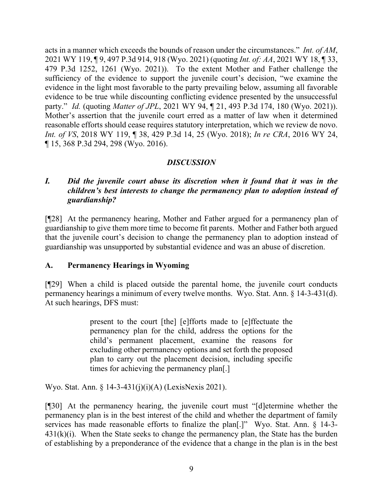acts in a manner which exceeds the bounds of reason under the circumstances." *Int. of AM*, 2021 WY 119, ¶ 9, 497 P.3d 914, 918 (Wyo. 2021) (quoting *Int. of: AA*, 2021 WY 18, ¶ 33, 479 P.3d 1252, 1261 (Wyo. 2021)). To the extent Mother and Father challenge the sufficiency of the evidence to support the juvenile court's decision, "we examine the evidence in the light most favorable to the party prevailing below, assuming all favorable evidence to be true while discounting conflicting evidence presented by the unsuccessful party." *Id.* (quoting *Matter of JPL*, 2021 WY 94, ¶ 21, 493 P.3d 174, 180 (Wyo. 2021)). Mother's assertion that the juvenile court erred as a matter of law when it determined reasonable efforts should cease requires statutory interpretation, which we review de novo. *Int. of VS*, 2018 WY 119, ¶ 38, 429 P.3d 14, 25 (Wyo. 2018); *In re CRA*, 2016 WY 24, ¶ 15, 368 P.3d 294, 298 (Wyo. 2016).

# *DISCUSSION*

## *I. Did the juvenile court abuse its discretion when it found that it was in the children's best interests to change the permanency plan to adoption instead of guardianship?*

[¶28] At the permanency hearing, Mother and Father argued for a permanency plan of guardianship to give them more time to become fit parents. Mother and Father both argued that the juvenile court's decision to change the permanency plan to adoption instead of guardianship was unsupported by substantial evidence and was an abuse of discretion.

#### **A. Permanency Hearings in Wyoming**

[¶29] When a child is placed outside the parental home, the juvenile court conducts permanency hearings a minimum of every twelve months. Wyo. Stat. Ann. § 14-3-431(d). At such hearings, DFS must:

> present to the court [the] [e]fforts made to [e]ffectuate the permanency plan for the child, address the options for the child's permanent placement, examine the reasons for excluding other permanency options and set forth the proposed plan to carry out the placement decision, including specific times for achieving the permanency plan[.]

Wyo. Stat. Ann. § 14-3-431(j)(i)(A) (LexisNexis 2021).

[¶30] At the permanency hearing, the juvenile court must "[d]etermine whether the permanency plan is in the best interest of the child and whether the department of family services has made reasonable efforts to finalize the plan[.]" Wyo. Stat. Ann. § 14-3-  $431(k)(i)$ . When the State seeks to change the permanency plan, the State has the burden of establishing by a preponderance of the evidence that a change in the plan is in the best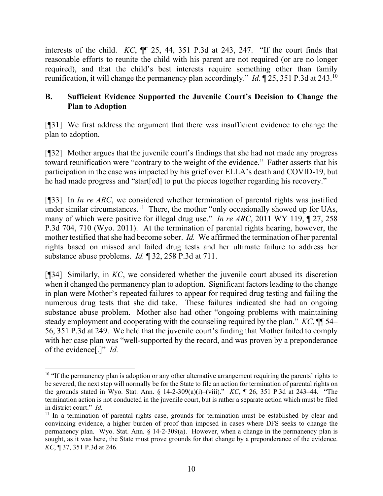interests of the child. *KC*, ¶¶ 25, 44, 351 P.3d at 243, 247. "If the court finds that reasonable efforts to reunite the child with his parent are not required (or are no longer required), and that the child's best interests require something other than family reunification, it will change the permanency plan accordingly." *Id.* ¶ 25, 351 P.3d at 243. [10](#page-11-0)

# **B. Sufficient Evidence Supported the Juvenile Court's Decision to Change the Plan to Adoption**

[¶31] We first address the argument that there was insufficient evidence to change the plan to adoption.

[¶32] Mother argues that the juvenile court's findings that she had not made any progress toward reunification were "contrary to the weight of the evidence." Father asserts that his participation in the case was impacted by his grief over ELLA's death and COVID-19, but he had made progress and "start[ed] to put the pieces together regarding his recovery."

[¶33] In *In re ARC*, we considered whether termination of parental rights was justified under similar circumstances.<sup>11</sup> There, the mother "only occasionally showed up for UAs, many of which were positive for illegal drug use." *In re ARC*, 2011 WY 119, ¶ 27, 258 P.3d 704, 710 (Wyo. 2011). At the termination of parental rights hearing, however, the mother testified that she had become sober. *Id.* We affirmed the termination of her parental rights based on missed and failed drug tests and her ultimate failure to address her substance abuse problems. *Id.* ¶ 32, 258 P.3d at 711.

[¶34] Similarly, in *KC*, we considered whether the juvenile court abused its discretion when it changed the permanency plan to adoption. Significant factors leading to the change in plan were Mother's repeated failures to appear for required drug testing and failing the numerous drug tests that she did take. These failures indicated she had an ongoing substance abuse problem. Mother also had other "ongoing problems with maintaining steady employment and cooperating with the counseling required by the plan." *KC*, ¶¶ 54– 56, 351 P.3d at 249. We held that the juvenile court's finding that Mother failed to comply with her case plan was "well-supported by the record, and was proven by a preponderance of the evidence[.]" *Id.*

<span id="page-11-0"></span><sup>&</sup>lt;sup>10</sup> "If the permanency plan is adoption or any other alternative arrangement requiring the parents' rights to be severed, the next step will normally be for the State to file an action for termination of parental rights on the grounds stated in Wyo. Stat. Ann. § 14-2-309(a)(i)–(viii)." *KC*, ¶ 26, 351 P.3d at 243–44. "The termination action is not conducted in the juvenile court, but is rather a separate action which must be filed in district court." *Id.*

<span id="page-11-1"></span> $11$  In a termination of parental rights case, grounds for termination must be established by clear and convincing evidence, a higher burden of proof than imposed in cases where DFS seeks to change the permanency plan. Wyo. Stat. Ann. § 14-2-309(a). However, when a change in the permanency plan is sought, as it was here, the State must prove grounds for that change by a preponderance of the evidence. *KC*, ¶ 37, 351 P.3d at 246.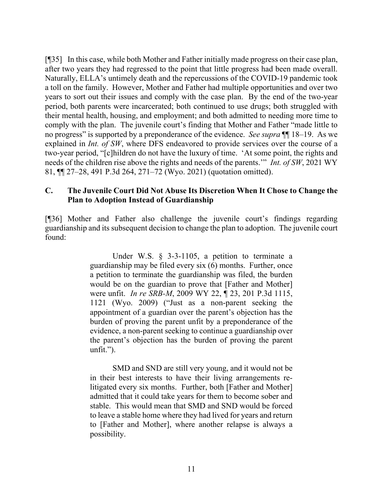[¶35] In this case, while both Mother and Father initially made progress on their case plan, after two years they had regressed to the point that little progress had been made overall. Naturally, ELLA's untimely death and the repercussions of the COVID-19 pandemic took a toll on the family. However, Mother and Father had multiple opportunities and over two years to sort out their issues and comply with the case plan. By the end of the two-year period, both parents were incarcerated; both continued to use drugs; both struggled with their mental health, housing, and employment; and both admitted to needing more time to comply with the plan. The juvenile court's finding that Mother and Father "made little to no progress" is supported by a preponderance of the evidence. *See supra* ¶¶ 18–19. As we explained in *Int. of SW*, where DFS endeavored to provide services over the course of a two-year period, "[c]hildren do not have the luxury of time. 'At some point, the rights and needs of the children rise above the rights and needs of the parents.'" *Int. of SW*, 2021 WY 81, ¶¶ 27–28, 491 P.3d 264, 271–72 (Wyo. 2021) (quotation omitted).

#### **C. The Juvenile Court Did Not Abuse Its Discretion When It Chose to Change the Plan to Adoption Instead of Guardianship**

[¶36] Mother and Father also challenge the juvenile court's findings regarding guardianship and its subsequent decision to change the plan to adoption. The juvenile court found:

> Under W.S. § 3-3-1105, a petition to terminate a guardianship may be filed every six (6) months. Further, once a petition to terminate the guardianship was filed, the burden would be on the guardian to prove that [Father and Mother] were unfit. *In re SRB-M*, 2009 WY 22, ¶ 23, 201 P.3d 1115, 1121 (Wyo. 2009) ("Just as a non-parent seeking the appointment of a guardian over the parent's objection has the burden of proving the parent unfit by a preponderance of the evidence, a non-parent seeking to continue a guardianship over the parent's objection has the burden of proving the parent unfit.").

> SMD and SND are still very young, and it would not be in their best interests to have their living arrangements relitigated every six months. Further, both [Father and Mother] admitted that it could take years for them to become sober and stable. This would mean that SMD and SND would be forced to leave a stable home where they had lived for years and return to [Father and Mother], where another relapse is always a possibility.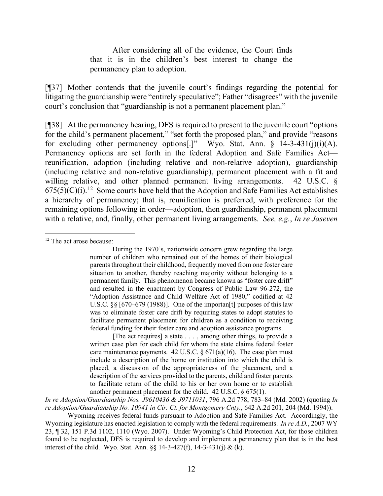After considering all of the evidence, the Court finds that it is in the children's best interest to change the permanency plan to adoption.

[¶37] Mother contends that the juvenile court's findings regarding the potential for litigating the guardianship were "entirely speculative"; Father "disagrees" with the juvenile court's conclusion that "guardianship is not a permanent placement plan."

[¶38] At the permanency hearing, DFS is required to present to the juvenile court "options for the child's permanent placement," "set forth the proposed plan," and provide "reasons for excluding other permanency options[.]" Wyo. Stat. Ann.  $\S$  14-3-431(j)(i)(A). Permanency options are set forth in the federal Adoption and Safe Families Act reunification, adoption (including relative and non-relative adoption), guardianship (including relative and non-relative guardianship), permanent placement with a fit and willing relative, and other planned permanent living arrangements. 42 U.S.C.  $\delta$  $675(5)(C)(i).$ <sup>[12](#page-13-0)</sup> Some courts have held that the Adoption and Safe Families Act establishes a hierarchy of permanency; that is, reunification is preferred, with preference for the remaining options following in order—adoption, then guardianship, permanent placement with a relative, and, finally, other permanent living arrangements. *See, e.g.*, *In re Jaseven* 

[The act requires] a state . . . , among other things, to provide a written case plan for each child for whom the state claims federal foster care maintenance payments. 42 U.S.C.  $\S 671(a)(16)$ . The case plan must include a description of the home or institution into which the child is placed, a discussion of the appropriateness of the placement, and a description of the services provided to the parents, child and foster parents to facilitate return of the child to his or her own home or to establish another permanent placement for the child. 42 U.S.C. § 675(1).

*In re Adoption/Guardianship Nos. J9610436 & J9711031*, 796 A.2d 778, 783–84 (Md. 2002) (quoting *In re Adoption/Guardianship No. 10941 in Cir. Ct. for Montgomery Cnty.*, 642 A.2d 201, 204 (Md. 1994)).

Wyoming receives federal funds pursuant to Adoption and Safe Families Act. Accordingly, the Wyoming legislature has enacted legislation to comply with the federal requirements. *In re A.D.*, 2007 WY 23, ¶ 32, 151 P.3d 1102, 1110 (Wyo. 2007). Under Wyoming's Child Protection Act, for those children found to be neglected, DFS is required to develop and implement a permanency plan that is in the best interest of the child. Wyo. Stat. Ann. §§ 14-3-427(f), 14-3-431(j) & (k).

<span id="page-13-0"></span><sup>&</sup>lt;sup>12</sup> The act arose because:

During the 1970's, nationwide concern grew regarding the large number of children who remained out of the homes of their biological parents throughout their childhood, frequently moved from one foster care situation to another, thereby reaching majority without belonging to a permanent family. This phenomenon became known as "foster care drift" and resulted in the enactment by Congress of Public Law 96-272, the "Adoption Assistance and Child Welfare Act of 1980," codified at 42 U.S.C. §§ [670–679 (1988)]. One of the importan<sup>[t]</sup> purposes of this law was to eliminate foster care drift by requiring states to adopt statutes to facilitate permanent placement for children as a condition to receiving federal funding for their foster care and adoption assistance programs.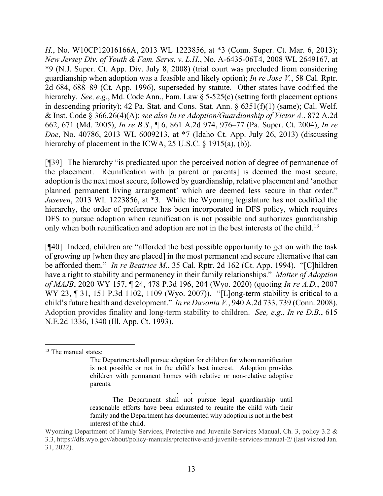*H.*, No. W10CP12016166A, 2013 WL 1223856, at \*3 (Conn. Super. Ct. Mar. 6, 2013); *New Jersey Div. of Youth & Fam. Servs. v. L.H.*, No. A-6435-06T4, 2008 WL 2649167, at \*9 (N.J. Super. Ct. App. Div. July 8, 2008) (trial court was precluded from considering guardianship when adoption was a feasible and likely option); *In re Jose V.*, 58 Cal. Rptr. 2d 684, 688–89 (Ct. App. 1996), superseded by statute. Other states have codified the hierarchy. *See, e.g.*, Md. Code Ann., Fam. Law § 5-525(c) (setting forth placement options in descending priority); 42 Pa. Stat. and Cons. Stat. Ann. § 6351(f)(1) (same); Cal. Welf. & Inst. Code § 366.26(4)(A); *see also In re Adoption/Guardianship of Victor A.*, 872 A.2d 662, 671 (Md. 2005); *In re B.S.*, ¶ 6, 861 A.2d 974, 976–77 (Pa. Super. Ct. 2004), *In re Doe*, No. 40786, 2013 WL 6009213, at \*7 (Idaho Ct. App. July 26, 2013) (discussing hierarchy of placement in the ICWA, 25 U.S.C. § 1915(a), (b)).

[¶39] The hierarchy "is predicated upon the perceived notion of degree of permanence of the placement. Reunification with [a parent or parents] is deemed the most secure, adoption is the next most secure, followed by guardianship, relative placement and 'another planned permanent living arrangement' which are deemed less secure in that order." *Jaseven*, 2013 WL 1223856, at \*3. While the Wyoming legislature has not codified the hierarchy, the order of preference has been incorporated in DFS policy, which requires DFS to pursue adoption when reunification is not possible and authorizes guardianship only when both reunification and adoption are not in the best interests of the child.<sup>[13](#page-14-0)</sup>

[¶40] Indeed, children are "afforded the best possible opportunity to get on with the task of growing up [when they are placed] in the most permanent and secure alternative that can be afforded them." *In re Beatrice M.*, 35 Cal. Rptr. 2d 162 (Ct. App. 1994). "[C]hildren have a right to stability and permanency in their family relationships." *Matter of Adoption of MAJB*, 2020 WY 157, ¶ 24, 478 P.3d 196, 204 (Wyo. 2020) (quoting *In re A.D.*, 2007 WY 23, ¶ 31, 151 P.3d 1102, 1109 (Wyo. 2007)). "[L]ong-term stability is critical to a child's future health and development." *In re Davonta V.*, 940 A.2d 733, 739 (Conn. 2008). Adoption provides finality and long-term stability to children. *See, e.g.*, *In re D.B.*, 615 N.E.2d 1336, 1340 (Ill. App. Ct. 1993).

<span id="page-14-0"></span><sup>13</sup> The manual states:

The Department shall pursue adoption for children for whom reunification is not possible or not in the child's best interest. Adoption provides children with permanent homes with relative or non-relative adoptive parents.

<sup>. . .</sup> The Department shall not pursue legal guardianship until reasonable efforts have been exhausted to reunite the child with their family and the Department has documented why adoption is not in the best interest of the child.

Wyoming Department of Family Services, Protective and Juvenile Services Manual, Ch. 3, policy 3.2 & 3.3, https://dfs.wyo.gov/about/policy-manuals/protective-and-juvenile-services-manual-2/ (last visited Jan. 31, 2022).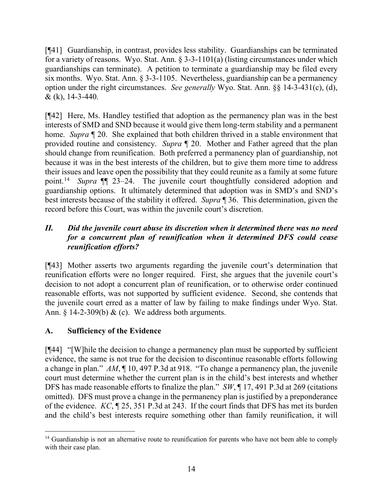[¶41] Guardianship, in contrast, provides less stability. Guardianships can be terminated for a variety of reasons. Wyo. Stat. Ann. § 3-3-1101(a) (listing circumstances under which guardianships can terminate). A petition to terminate a guardianship may be filed every six months. Wyo. Stat. Ann. § 3-3-1105. Nevertheless, guardianship can be a permanency option under the right circumstances. *See generally* Wyo. Stat. Ann. §§ 14-3-431(c), (d), & (k), 14-3-440.

[¶42] Here, Ms. Handley testified that adoption as the permanency plan was in the best interests of SMD and SND because it would give them long-term stability and a permanent home. *Supra* ¶ 20. She explained that both children thrived in a stable environment that provided routine and consistency. *Supra* ¶ 20. Mother and Father agreed that the plan should change from reunification. Both preferred a permanency plan of guardianship, not because it was in the best interests of the children, but to give them more time to address their issues and leave open the possibility that they could reunite as a family at some future point.[14](#page-15-0) *Supra* ¶¶ 23–24. The juvenile court thoughtfully considered adoption and guardianship options. It ultimately determined that adoption was in SMD's and SND's best interests because of the stability it offered. *Supra* ¶ 36. This determination, given the record before this Court, was within the juvenile court's discretion.

# *II. Did the juvenile court abuse its discretion when it determined there was no need for a concurrent plan of reunification when it determined DFS could cease reunification efforts?*

[¶43] Mother asserts two arguments regarding the juvenile court's determination that reunification efforts were no longer required. First, she argues that the juvenile court's decision to not adopt a concurrent plan of reunification, or to otherwise order continued reasonable efforts, was not supported by sufficient evidence. Second, she contends that the juvenile court erred as a matter of law by failing to make findings under Wyo. Stat. Ann.  $\S$  14-2-309(b) & (c). We address both arguments.

# **A. Sufficiency of the Evidence**

[¶44] "[W]hile the decision to change a permanency plan must be supported by sufficient evidence, the same is not true for the decision to discontinue reasonable efforts following a change in plan." *AM*, ¶ 10, 497 P.3d at 918. "To change a permanency plan, the juvenile court must determine whether the current plan is in the child's best interests and whether DFS has made reasonable efforts to finalize the plan." *SW*, ¶ 17, 491 P.3d at 269 (citations omitted). DFS must prove a change in the permanency plan is justified by a preponderance of the evidence. *KC*, ¶ 25, 351 P.3d at 243. If the court finds that DFS has met its burden and the child's best interests require something other than family reunification, it will

<span id="page-15-0"></span> $14$  Guardianship is not an alternative route to reunification for parents who have not been able to comply with their case plan.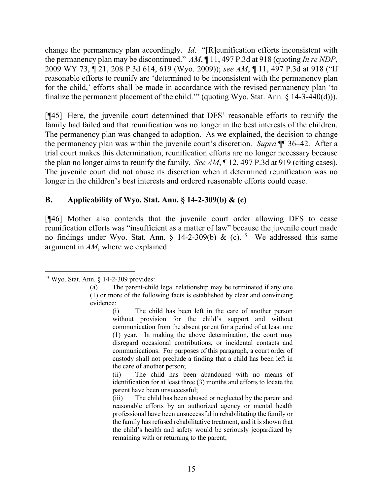change the permanency plan accordingly. *Id.* "[R]eunification efforts inconsistent with the permanency plan may be discontinued." *AM*, ¶ 11, 497 P.3d at 918 (quoting *In re NDP*, 2009 WY 73, ¶ 21, 208 P.3d 614, 619 (Wyo. 2009)); *see AM*, ¶ 11, 497 P.3d at 918 ("If reasonable efforts to reunify are 'determined to be inconsistent with the permanency plan for the child,' efforts shall be made in accordance with the revised permanency plan 'to finalize the permanent placement of the child.'" (quoting Wyo. Stat. Ann. § 14-3-440(d))).

[¶45] Here, the juvenile court determined that DFS' reasonable efforts to reunify the family had failed and that reunification was no longer in the best interests of the children. The permanency plan was changed to adoption. As we explained, the decision to change the permanency plan was within the juvenile court's discretion. *Supra* ¶¶ 36–42. After a trial court makes this determination, reunification efforts are no longer necessary because the plan no longer aims to reunify the family. *See AM*, ¶ 12, 497 P.3d at 919 (citing cases). The juvenile court did not abuse its discretion when it determined reunification was no longer in the children's best interests and ordered reasonable efforts could cease.

## **B. Applicability of Wyo. Stat. Ann. § 14-2-309(b) & (c)**

[¶46] Mother also contends that the juvenile court order allowing DFS to cease reunification efforts was "insufficient as a matter of law" because the juvenile court made no findings under Wyo. Stat. Ann.  $\S$  14-2-309(b) & (c).<sup>[15](#page-16-0)</sup> We addressed this same argument in *AM*, where we explained:

<span id="page-16-0"></span><sup>15</sup> Wyo. Stat. Ann. § 14-2-309 provides:

<sup>(</sup>a) The parent-child legal relationship may be terminated if any one (1) or more of the following facts is established by clear and convincing evidence:

<sup>(</sup>i) The child has been left in the care of another person without provision for the child's support and without communication from the absent parent for a period of at least one (1) year. In making the above determination, the court may disregard occasional contributions, or incidental contacts and communications. For purposes of this paragraph, a court order of custody shall not preclude a finding that a child has been left in the care of another person;

<sup>(</sup>ii) The child has been abandoned with no means of identification for at least three (3) months and efforts to locate the parent have been unsuccessful;

<sup>(</sup>iii) The child has been abused or neglected by the parent and reasonable efforts by an authorized agency or mental health professional have been unsuccessful in rehabilitating the family or the family has refused rehabilitative treatment, and it is shown that the child's health and safety would be seriously jeopardized by remaining with or returning to the parent;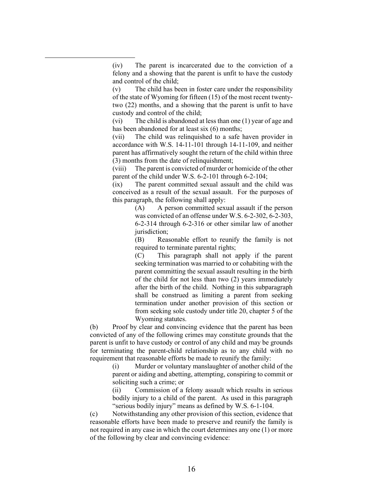(iv) The parent is incarcerated due to the conviction of a felony and a showing that the parent is unfit to have the custody and control of the child;

(v) The child has been in foster care under the responsibility of the state of Wyoming for fifteen (15) of the most recent twentytwo (22) months, and a showing that the parent is unfit to have custody and control of the child;

(vi) The child is abandoned at less than one (1) year of age and has been abandoned for at least six (6) months;

(vii) The child was relinquished to a safe haven provider in accordance with W.S. 14-11-101 through 14-11-109, and neither parent has affirmatively sought the return of the child within three (3) months from the date of relinquishment;

(viii) The parent is convicted of murder or homicide of the other parent of the child under W.S. 6-2-101 through 6-2-104;

(ix) The parent committed sexual assault and the child was conceived as a result of the sexual assault. For the purposes of this paragraph, the following shall apply:

> (A) A person committed sexual assault if the person was convicted of an offense under W.S. 6-2-302, 6-2-303, 6-2-314 through 6-2-316 or other similar law of another jurisdiction:

> (B) Reasonable effort to reunify the family is not required to terminate parental rights;

> (C) This paragraph shall not apply if the parent seeking termination was married to or cohabiting with the parent committing the sexual assault resulting in the birth of the child for not less than two (2) years immediately after the birth of the child. Nothing in this subparagraph shall be construed as limiting a parent from seeking termination under another provision of this section or from seeking sole custody under title 20, chapter 5 of the Wyoming statutes.

(b) Proof by clear and convincing evidence that the parent has been convicted of any of the following crimes may constitute grounds that the parent is unfit to have custody or control of any child and may be grounds for terminating the parent-child relationship as to any child with no requirement that reasonable efforts be made to reunify the family:

> (i) Murder or voluntary manslaughter of another child of the parent or aiding and abetting, attempting, conspiring to commit or soliciting such a crime; or

> (ii) Commission of a felony assault which results in serious bodily injury to a child of the parent. As used in this paragraph "serious bodily injury" means as defined by W.S. 6-1-104.

(c) Notwithstanding any other provision of this section, evidence that reasonable efforts have been made to preserve and reunify the family is not required in any case in which the court determines any one (1) or more of the following by clear and convincing evidence: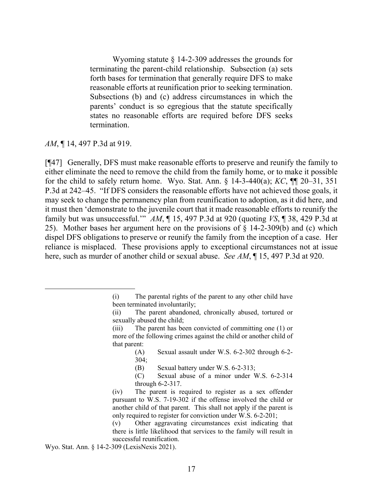Wyoming statute § 14-2-309 addresses the grounds for terminating the parent-child relationship. Subsection (a) sets forth bases for termination that generally require DFS to make reasonable efforts at reunification prior to seeking termination. Subsections (b) and (c) address circumstances in which the parents' conduct is so egregious that the statute specifically states no reasonable efforts are required before DFS seeks termination.

*AM*, ¶ 14, 497 P.3d at 919.

[¶47] Generally, DFS must make reasonable efforts to preserve and reunify the family to either eliminate the need to remove the child from the family home, or to make it possible for the child to safely return home. Wyo. Stat. Ann. § 14-3-440(a); *KC*, ¶¶ 20–31, 351 P.3d at 242–45. "If DFS considers the reasonable efforts have not achieved those goals, it may seek to change the permanency plan from reunification to adoption, as it did here, and it must then 'demonstrate to the juvenile court that it made reasonable efforts to reunify the family but was unsuccessful.'" *AM*, ¶ 15, 497 P.3d at 920 (quoting *VS*, ¶ 38, 429 P.3d at 25). Mother bases her argument here on the provisions of § 14-2-309(b) and (c) which dispel DFS obligations to preserve or reunify the family from the inception of a case. Her reliance is misplaced. These provisions apply to exceptional circumstances not at issue here, such as murder of another child or sexual abuse. *See AM*, ¶ 15, 497 P.3d at 920.

Wyo. Stat. Ann. § 14-2-309 (LexisNexis 2021).

<sup>(</sup>i) The parental rights of the parent to any other child have been terminated involuntarily;

<sup>(</sup>ii) The parent abandoned, chronically abused, tortured or sexually abused the child;

<sup>(</sup>iii) The parent has been convicted of committing one (1) or more of the following crimes against the child or another child of that parent:

<sup>(</sup>A) Sexual assault under W.S. 6-2-302 through 6-2- 304;

<sup>(</sup>B) Sexual battery under W.S. 6-2-313;

<sup>(</sup>C) Sexual abuse of a minor under W.S. 6-2-314 through 6-2-317.

<sup>(</sup>iv) The parent is required to register as a sex offender pursuant to W.S. 7-19-302 if the offense involved the child or another child of that parent. This shall not apply if the parent is only required to register for conviction under W.S. 6-2-201;

<sup>(</sup>v) Other aggravating circumstances exist indicating that there is little likelihood that services to the family will result in successful reunification.